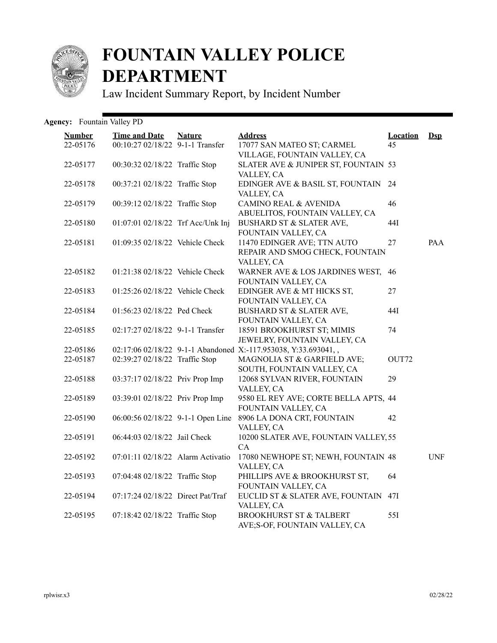

## **FOUNTAIN VALLEY POLICE DEPARTMENT**

Law Incident Summary Report, by Incident Number

## Agency: Fountain Valley PD

| <b>Number</b> | <b>Time and Date</b><br>00:10:27 02/18/22 9-1-1 Transfer | <b>Nature</b> | <b>Address</b>                                                 | <b>Location</b><br>45 | $\mathbf{Dsp}$ |
|---------------|----------------------------------------------------------|---------------|----------------------------------------------------------------|-----------------------|----------------|
| 22-05176      |                                                          |               | 17077 SAN MATEO ST; CARMEL<br>VILLAGE, FOUNTAIN VALLEY, CA     |                       |                |
| 22-05177      | 00:30:32 02/18/22 Traffic Stop                           |               | SLATER AVE & JUNIPER ST, FOUNTAIN 53                           |                       |                |
|               |                                                          |               | VALLEY, CA                                                     |                       |                |
| 22-05178      | 00:37:21 02/18/22 Traffic Stop                           |               | EDINGER AVE & BASIL ST, FOUNTAIN 24                            |                       |                |
|               |                                                          |               | VALLEY, CA                                                     |                       |                |
| 22-05179      | 00:39:12 02/18/22 Traffic Stop                           |               | <b>CAMINO REAL &amp; AVENIDA</b>                               | 46                    |                |
|               |                                                          |               | ABUELITOS, FOUNTAIN VALLEY, CA                                 |                       |                |
| 22-05180      | 01:07:01 02/18/22 Trf Acc/Unk Inj                        |               | BUSHARD ST & SLATER AVE,                                       | 44I                   |                |
|               |                                                          |               | FOUNTAIN VALLEY, CA                                            |                       |                |
| 22-05181      | 01:09:35 02/18/22 Vehicle Check                          |               | 11470 EDINGER AVE; TTN AUTO                                    | 27                    | PAA            |
|               |                                                          |               | REPAIR AND SMOG CHECK, FOUNTAIN                                |                       |                |
|               |                                                          |               | VALLEY, CA                                                     |                       |                |
| 22-05182      | 01:21:38 02/18/22 Vehicle Check                          |               | WARNER AVE & LOS JARDINES WEST,                                | 46                    |                |
|               |                                                          |               | FOUNTAIN VALLEY, CA                                            |                       |                |
| 22-05183      | 01:25:26 02/18/22 Vehicle Check                          |               | EDINGER AVE & MT HICKS ST,                                     | 27                    |                |
|               |                                                          |               | FOUNTAIN VALLEY, CA                                            |                       |                |
| 22-05184      | $01:56:23\ 02/18/22$ Ped Check                           |               | BUSHARD ST & SLATER AVE,                                       | 44I                   |                |
|               |                                                          |               | FOUNTAIN VALLEY, CA                                            |                       |                |
| 22-05185      | 02:17:27 02/18/22 9-1-1 Transfer                         |               | 18591 BROOKHURST ST; MIMIS                                     | 74                    |                |
|               |                                                          |               | JEWELRY, FOUNTAIN VALLEY, CA                                   |                       |                |
| 22-05186      |                                                          |               | 02:17:06 02/18/22 9-1-1 Abandoned X:-117.953038, Y:33.693041,, |                       |                |
| 22-05187      | 02:39:27 02/18/22 Traffic Stop                           |               | MAGNOLIA ST & GARFIELD AVE;                                    | OUT72                 |                |
|               |                                                          |               | SOUTH, FOUNTAIN VALLEY, CA                                     |                       |                |
| 22-05188      | 03:37:17 02/18/22 Priv Prop Imp                          |               | 12068 SYLVAN RIVER, FOUNTAIN                                   | 29                    |                |
|               |                                                          |               | VALLEY, CA                                                     |                       |                |
| 22-05189      | 03:39:01 02/18/22 Priv Prop Imp                          |               | 9580 EL REY AVE; CORTE BELLA APTS, 44                          |                       |                |
|               |                                                          |               | FOUNTAIN VALLEY, CA                                            |                       |                |
| 22-05190      | 06:00:56 02/18/22 9-1-1 Open Line                        |               | 8906 LA DONA CRT, FOUNTAIN                                     | 42                    |                |
|               |                                                          |               | VALLEY, CA                                                     |                       |                |
| 22-05191      | 06:44:03 02/18/22 Jail Check                             |               | 10200 SLATER AVE, FOUNTAIN VALLEY, 55<br>CA                    |                       |                |
| 22-05192      | 07:01:11 02/18/22 Alarm Activatio                        |               | 17080 NEWHOPE ST; NEWH, FOUNTAIN 48                            |                       | <b>UNF</b>     |
|               |                                                          |               | VALLEY, CA                                                     |                       |                |
| 22-05193      | 07:04:48 02/18/22 Traffic Stop                           |               | PHILLIPS AVE & BROOKHURST ST,                                  | 64                    |                |
|               |                                                          |               | FOUNTAIN VALLEY, CA                                            |                       |                |
| 22-05194      | 07:17:24 02/18/22 Direct Pat/Traf                        |               | EUCLID ST & SLATER AVE, FOUNTAIN 47I                           |                       |                |
|               |                                                          |               | VALLEY, CA                                                     |                       |                |
| 22-05195      | 07:18:42 02/18/22 Traffic Stop                           |               | <b>BROOKHURST ST &amp; TALBERT</b>                             | 55I                   |                |
|               |                                                          |               | AVE;S-OF, FOUNTAIN VALLEY, CA                                  |                       |                |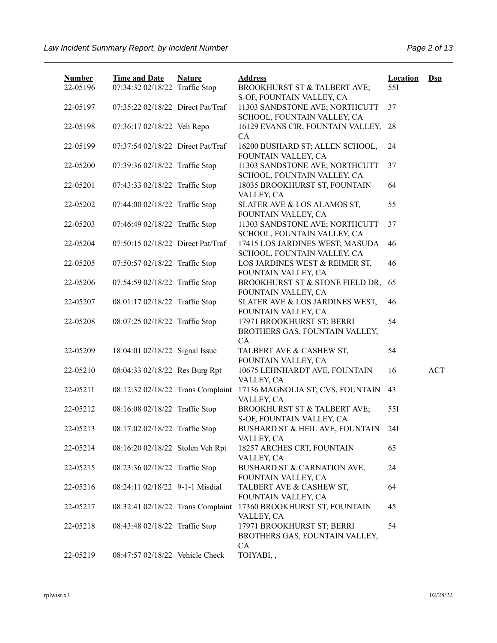| <b>Number</b><br>22-05196 | <b>Time and Date</b><br>07:34:32 02/18/22 Traffic Stop | <b>Nature</b> | <b>Address</b><br><b>BROOKHURST ST &amp; TALBERT AVE;</b>          | <b>Location</b><br>55I | $\mathbf{Dsp}$ |
|---------------------------|--------------------------------------------------------|---------------|--------------------------------------------------------------------|------------------------|----------------|
|                           |                                                        |               | S-OF, FOUNTAIN VALLEY, CA                                          |                        |                |
| 22-05197                  | 07:35:22 02/18/22 Direct Pat/Traf                      |               | 11303 SANDSTONE AVE; NORTHCUTT<br>SCHOOL, FOUNTAIN VALLEY, CA      | 37                     |                |
| 22-05198                  | 07:36:17 02/18/22 Veh Repo                             |               | 16129 EVANS CIR, FOUNTAIN VALLEY,<br>CA                            | 28                     |                |
| 22-05199                  | 07:37:54 02/18/22 Direct Pat/Traf                      |               | 16200 BUSHARD ST; ALLEN SCHOOL,<br>FOUNTAIN VALLEY, CA             | 24                     |                |
| 22-05200                  | 07:39:36 02/18/22 Traffic Stop                         |               | 11303 SANDSTONE AVE; NORTHCUTT<br>SCHOOL, FOUNTAIN VALLEY, CA      | 37                     |                |
| 22-05201                  | 07:43:33 02/18/22 Traffic Stop                         |               | 18035 BROOKHURST ST, FOUNTAIN<br>VALLEY, CA                        | 64                     |                |
| 22-05202                  | 07:44:00 02/18/22 Traffic Stop                         |               | SLATER AVE & LOS ALAMOS ST,<br>FOUNTAIN VALLEY, CA                 | 55                     |                |
| 22-05203                  | 07:46:49 02/18/22 Traffic Stop                         |               | 11303 SANDSTONE AVE; NORTHCUTT<br>SCHOOL, FOUNTAIN VALLEY, CA      | 37                     |                |
| 22-05204                  | 07:50:15 02/18/22 Direct Pat/Traf                      |               | 17415 LOS JARDINES WEST; MASUDA<br>SCHOOL, FOUNTAIN VALLEY, CA     | 46                     |                |
| 22-05205                  | 07:50:57 02/18/22 Traffic Stop                         |               | LOS JARDINES WEST & REIMER ST,<br>FOUNTAIN VALLEY, CA              | 46                     |                |
| 22-05206                  | 07:54:59 02/18/22 Traffic Stop                         |               | BROOKHURST ST & STONE FIELD DR,<br>FOUNTAIN VALLEY, CA             | 65                     |                |
| 22-05207                  | 08:01:17 02/18/22 Traffic Stop                         |               | SLATER AVE & LOS JARDINES WEST,<br>FOUNTAIN VALLEY, CA             | 46                     |                |
| 22-05208                  | 08:07:25 02/18/22 Traffic Stop                         |               | 17971 BROOKHURST ST; BERRI<br>BROTHERS GAS, FOUNTAIN VALLEY,       | 54                     |                |
| 22-05209                  | 18:04:01 02/18/22 Signal Issue                         |               | CA<br>TALBERT AVE & CASHEW ST,<br>FOUNTAIN VALLEY, CA              | 54                     |                |
| 22-05210                  | 08:04:33 02/18/22 Res Burg Rpt                         |               | 10675 LEHNHARDT AVE, FOUNTAIN<br>VALLEY, CA                        | 16                     | <b>ACT</b>     |
| 22-05211                  | 08:12:32 02/18/22 Trans Complaint                      |               | 17136 MAGNOLIA ST; CVS, FOUNTAIN<br>VALLEY, CA                     | 43                     |                |
| 22-05212                  | 08:16:08 02/18/22 Traffic Stop                         |               | BROOKHURST ST & TALBERT AVE;                                       | 55I                    |                |
| 22-05213                  | 08:17:02 02/18/22 Traffic Stop                         |               | S-OF, FOUNTAIN VALLEY, CA<br>BUSHARD ST & HEIL AVE, FOUNTAIN       | 24I                    |                |
| 22-05214                  | 08:16:20 02/18/22 Stolen Veh Rpt                       |               | VALLEY, CA<br>18257 ARCHES CRT, FOUNTAIN                           | 65                     |                |
| 22-05215                  | 08:23:36 02/18/22 Traffic Stop                         |               | VALLEY, CA<br>BUSHARD ST & CARNATION AVE,<br>FOUNTAIN VALLEY, CA   | 24                     |                |
| 22-05216                  | 08:24:11 02/18/22 9-1-1 Misdial                        |               | TALBERT AVE & CASHEW ST,<br>FOUNTAIN VALLEY, CA                    | 64                     |                |
| 22-05217                  | 08:32:41 02/18/22 Trans Complaint                      |               | 17360 BROOKHURST ST, FOUNTAIN<br>VALLEY, CA                        | 45                     |                |
| 22-05218                  | 08:43:48 02/18/22 Traffic Stop                         |               | 17971 BROOKHURST ST; BERRI<br>BROTHERS GAS, FOUNTAIN VALLEY,<br>CA | 54                     |                |
| 22-05219                  | 08:47:57 02/18/22 Vehicle Check                        |               | TOIYABI,,                                                          |                        |                |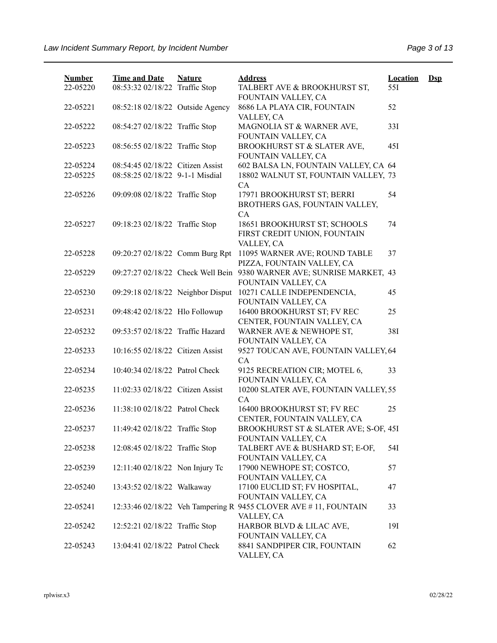| <b>Number</b> | <b>Time and Date</b>              | <b>Nature</b> | <b>Address</b>                                                                               | <b>Location</b> | $\mathbf{Dsp}$ |
|---------------|-----------------------------------|---------------|----------------------------------------------------------------------------------------------|-----------------|----------------|
| 22-05220      | 08:53:32 02/18/22 Traffic Stop    |               | TALBERT AVE & BROOKHURST ST,<br>FOUNTAIN VALLEY, CA                                          | 55I             |                |
| 22-05221      | 08:52:18 02/18/22 Outside Agency  |               | 8686 LA PLAYA CIR, FOUNTAIN<br>VALLEY, CA                                                    | 52              |                |
| 22-05222      | 08:54:27 02/18/22 Traffic Stop    |               | MAGNOLIA ST & WARNER AVE,<br>FOUNTAIN VALLEY, CA                                             | 33I             |                |
| 22-05223      | 08:56:55 02/18/22 Traffic Stop    |               | BROOKHURST ST & SLATER AVE,<br>FOUNTAIN VALLEY, CA                                           | 45I             |                |
| 22-05224      | 08:54:45 02/18/22 Citizen Assist  |               | 602 BALSA LN, FOUNTAIN VALLEY, CA 64                                                         |                 |                |
| 22-05225      | 08:58:25 02/18/22 9-1-1 Misdial   |               | 18802 WALNUT ST, FOUNTAIN VALLEY, 73<br>CA                                                   |                 |                |
| 22-05226      | 09:09:08 02/18/22 Traffic Stop    |               | 17971 BROOKHURST ST; BERRI<br>BROTHERS GAS, FOUNTAIN VALLEY,<br><b>CA</b>                    | 54              |                |
| 22-05227      | 09:18:23 02/18/22 Traffic Stop    |               | 18651 BROOKHURST ST; SCHOOLS<br>FIRST CREDIT UNION, FOUNTAIN<br>VALLEY, CA                   | 74              |                |
| 22-05228      | 09:20:27 02/18/22 Comm Burg Rpt   |               | 11095 WARNER AVE; ROUND TABLE<br>PIZZA, FOUNTAIN VALLEY, CA                                  | 37              |                |
| 22-05229      |                                   |               | 09:27:27 02/18/22 Check Well Bein 9380 WARNER AVE; SUNRISE MARKET, 43<br>FOUNTAIN VALLEY, CA |                 |                |
| 22-05230      | 09:29:18 02/18/22 Neighbor Disput |               | 10271 CALLE INDEPENDENCIA,<br>FOUNTAIN VALLEY, CA                                            | 45              |                |
| 22-05231      | 09:48:42 02/18/22 Hlo Followup    |               | 16400 BROOKHURST ST; FV REC<br>CENTER, FOUNTAIN VALLEY, CA                                   | 25              |                |
| 22-05232      | 09:53:57 02/18/22 Traffic Hazard  |               | WARNER AVE & NEWHOPE ST,<br>FOUNTAIN VALLEY, CA                                              | 38I             |                |
| 22-05233      | 10:16:55 02/18/22 Citizen Assist  |               | 9527 TOUCAN AVE, FOUNTAIN VALLEY, 64<br>CA                                                   |                 |                |
| 22-05234      | 10:40:34 02/18/22 Patrol Check    |               | 9125 RECREATION CIR; MOTEL 6,<br>FOUNTAIN VALLEY, CA                                         | 33              |                |
| 22-05235      | 11:02:33 02/18/22 Citizen Assist  |               | 10200 SLATER AVE, FOUNTAIN VALLEY, 55<br><b>CA</b>                                           |                 |                |
| 22-05236      | 11:38:10 02/18/22 Patrol Check    |               | 16400 BROOKHURST ST; FV REC<br>CENTER, FOUNTAIN VALLEY, CA                                   | 25              |                |
| 22-05237      | 11:49:42 02/18/22 Traffic Stop    |               | BROOKHURST ST & SLATER AVE; S-OF, 45I<br>FOUNTAIN VALLEY, CA                                 |                 |                |
| 22-05238      | 12:08:45 02/18/22 Traffic Stop    |               | TALBERT AVE & BUSHARD ST; E-OF,<br>FOUNTAIN VALLEY, CA                                       | 54I             |                |
| 22-05239      | 12:11:40 02/18/22 Non Injury Tc   |               | 17900 NEWHOPE ST; COSTCO,<br>FOUNTAIN VALLEY, CA                                             | 57              |                |
| 22-05240      | 13:43:52 02/18/22 Walkaway        |               | 17100 EUCLID ST; FV HOSPITAL,<br>FOUNTAIN VALLEY, CA                                         | 47              |                |
| 22-05241      |                                   |               | 12:33:46 02/18/22 Veh Tampering R 9455 CLOVER AVE #11, FOUNTAIN<br>VALLEY, CA                | 33              |                |
| 22-05242      | 12:52:21 02/18/22 Traffic Stop    |               | HARBOR BLVD & LILAC AVE,<br>FOUNTAIN VALLEY, CA                                              | 191             |                |
| 22-05243      | 13:04:41 02/18/22 Patrol Check    |               | 8841 SANDPIPER CIR, FOUNTAIN<br>VALLEY, CA                                                   | 62              |                |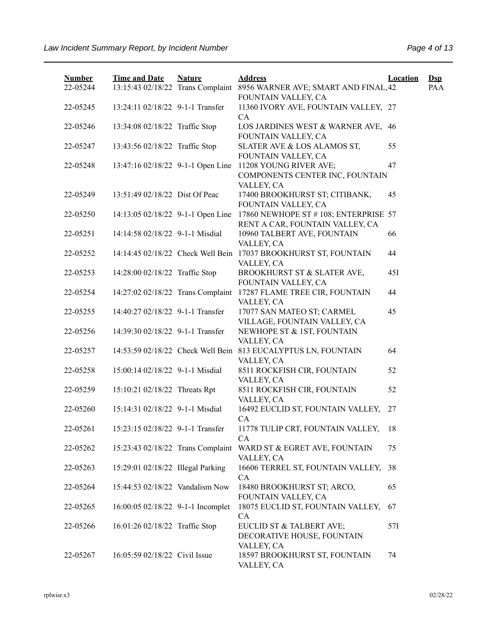| <b>Number</b> | <b>Time and Date</b>              | <b>Nature</b> | <b>Address</b>                                                              | <b>Location</b> | $\mathbf{Dsp}$ |
|---------------|-----------------------------------|---------------|-----------------------------------------------------------------------------|-----------------|----------------|
| 22-05244      | 13:15:43 02/18/22 Trans Complaint |               | 8956 WARNER AVE; SMART AND FINAL, 42<br>FOUNTAIN VALLEY, CA                 |                 | PAA            |
| 22-05245      | 13:24:11 02/18/22 9-1-1 Transfer  |               | 11360 IVORY AVE, FOUNTAIN VALLEY, 27<br>CA                                  |                 |                |
| 22-05246      | 13:34:08 02/18/22 Traffic Stop    |               | LOS JARDINES WEST & WARNER AVE, 46<br>FOUNTAIN VALLEY, CA                   |                 |                |
| 22-05247      | 13:43:56 02/18/22 Traffic Stop    |               | SLATER AVE & LOS ALAMOS ST,<br>FOUNTAIN VALLEY, CA                          | 55              |                |
| 22-05248      | 13:47:16 02/18/22 9-1-1 Open Line |               | 11208 YOUNG RIVER AVE;<br>COMPONENTS CENTER INC, FOUNTAIN<br>VALLEY, CA     | 47              |                |
| 22-05249      | 13:51:49 02/18/22 Dist Of Peac    |               | 17400 BROOKHURST ST; CITIBANK,<br>FOUNTAIN VALLEY, CA                       | 45              |                |
| 22-05250      | 14:13:05 02/18/22 9-1-1 Open Line |               | 17860 NEWHOPE ST #108; ENTERPRISE 57<br>RENT A CAR, FOUNTAIN VALLEY, CA     |                 |                |
| 22-05251      | 14:14:58 02/18/22 9-1-1 Misdial   |               | 10960 TALBERT AVE, FOUNTAIN<br>VALLEY, CA                                   | 66              |                |
| 22-05252      | 14:14:45 02/18/22 Check Well Bein |               | 17037 BROOKHURST ST, FOUNTAIN<br>VALLEY, CA                                 | 44              |                |
| 22-05253      | 14:28:00 02/18/22 Traffic Stop    |               | BROOKHURST ST & SLATER AVE,<br>FOUNTAIN VALLEY, CA                          | 45I             |                |
| 22-05254      | 14:27:02 02/18/22 Trans Complaint |               | 17287 FLAME TREE CIR, FOUNTAIN<br>VALLEY, CA                                | 44              |                |
| 22-05255      | 14:40:27 02/18/22 9-1-1 Transfer  |               | 17077 SAN MATEO ST; CARMEL<br>VILLAGE, FOUNTAIN VALLEY, CA                  | 45              |                |
| 22-05256      | 14:39:30 02/18/22 9-1-1 Transfer  |               | NEWHOPE ST & 1ST, FOUNTAIN<br>VALLEY, CA                                    |                 |                |
| 22-05257      |                                   |               | 14:53:59 02/18/22 Check Well Bein 813 EUCALYPTUS LN, FOUNTAIN<br>VALLEY, CA | 64              |                |
| 22-05258      | 15:00:14 02/18/22 9-1-1 Misdial   |               | 8511 ROCKFISH CIR, FOUNTAIN<br>VALLEY, CA                                   | 52              |                |
| 22-05259      | 15:10:21 02/18/22 Threats Rpt     |               | 8511 ROCKFISH CIR, FOUNTAIN<br>VALLEY, CA                                   | 52              |                |
| 22-05260      | 15:14:31 02/18/22 9-1-1 Misdial   |               | 16492 EUCLID ST, FOUNTAIN VALLEY,<br>CA                                     | 27              |                |
| 22-05261      | 15:23:15 02/18/22 9-1-1 Transfer  |               | 11778 TULIP CRT, FOUNTAIN VALLEY,<br>CA                                     | 18              |                |
| 22-05262      | 15:23:43 02/18/22 Trans Complaint |               | WARD ST & EGRET AVE, FOUNTAIN<br>VALLEY, CA                                 | 75              |                |
| 22-05263      | 15:29:01 02/18/22 Illegal Parking |               | 16606 TERREL ST, FOUNTAIN VALLEY, 38<br><b>CA</b>                           |                 |                |
| 22-05264      | 15:44:53 02/18/22 Vandalism Now   |               | 18480 BROOKHURST ST; ARCO,<br>FOUNTAIN VALLEY, CA                           | 65              |                |
| 22-05265      | 16:00:05 02/18/22 9-1-1 Incomplet |               | 18075 EUCLID ST, FOUNTAIN VALLEY,<br><b>CA</b>                              | 67              |                |
| 22-05266      | 16:01:26 02/18/22 Traffic Stop    |               | EUCLID ST & TALBERT AVE;<br>DECORATIVE HOUSE, FOUNTAIN<br>VALLEY, CA        | 57I             |                |
| 22-05267      | 16:05:59 02/18/22 Civil Issue     |               | 18597 BROOKHURST ST, FOUNTAIN<br>VALLEY, CA                                 | 74              |                |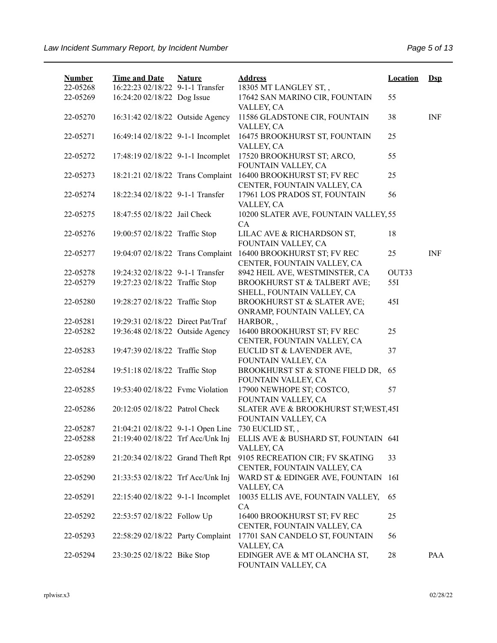| <b>Number</b><br>22-05268 | <b>Time and Date</b><br>16:22:23 02/18/22 9-1-1 Transfer | <b>Nature</b> | <b>Address</b><br>18305 MT LANGLEY ST,,                        | <b>Location</b> | $Ds$       |
|---------------------------|----------------------------------------------------------|---------------|----------------------------------------------------------------|-----------------|------------|
| 22-05269                  | 16:24:20 02/18/22 Dog Issue                              |               | 17642 SAN MARINO CIR, FOUNTAIN<br>VALLEY, CA                   | 55              |            |
| 22-05270                  | 16:31:42 02/18/22 Outside Agency                         |               | 11586 GLADSTONE CIR, FOUNTAIN<br>VALLEY, CA                    | 38              | INF        |
| 22-05271                  | 16:49:14 02/18/22 9-1-1 Incomplet                        |               | 16475 BROOKHURST ST, FOUNTAIN<br>VALLEY, CA                    | 25              |            |
| 22-05272                  | 17:48:19 02/18/22 9-1-1 Incomplet                        |               | 17520 BROOKHURST ST; ARCO,<br>FOUNTAIN VALLEY, CA              | 55              |            |
| 22-05273                  | 18:21:21 02/18/22 Trans Complaint                        |               | 16400 BROOKHURST ST; FV REC<br>CENTER, FOUNTAIN VALLEY, CA     | 25              |            |
| 22-05274                  | 18:22:34 02/18/22 9-1-1 Transfer                         |               | 17961 LOS PRADOS ST, FOUNTAIN<br>VALLEY, CA                    | 56              |            |
| 22-05275                  | 18:47:55 02/18/22 Jail Check                             |               | 10200 SLATER AVE, FOUNTAIN VALLEY, 55<br>CA                    |                 |            |
| 22-05276                  | 19:00:57 02/18/22 Traffic Stop                           |               | LILAC AVE & RICHARDSON ST,<br>FOUNTAIN VALLEY, CA              | 18              |            |
| 22-05277                  | 19:04:07 02/18/22 Trans Complaint                        |               | 16400 BROOKHURST ST; FV REC<br>CENTER, FOUNTAIN VALLEY, CA     | 25              | <b>INF</b> |
| 22-05278                  | 19:24:32 02/18/22 9-1-1 Transfer                         |               | 8942 HEIL AVE, WESTMINSTER, CA                                 | OUT33           |            |
| 22-05279                  | 19:27:23 02/18/22 Traffic Stop                           |               | BROOKHURST ST & TALBERT AVE;<br>SHELL, FOUNTAIN VALLEY, CA     | 55I             |            |
| 22-05280                  | 19:28:27 02/18/22 Traffic Stop                           |               | BROOKHURST ST & SLATER AVE;<br>ONRAMP, FOUNTAIN VALLEY, CA     | 45I             |            |
| 22-05281                  | 19:29:31 02/18/22 Direct Pat/Traf                        |               | HARBOR,,                                                       |                 |            |
| 22-05282                  | 19:36:48 02/18/22 Outside Agency                         |               | 16400 BROOKHURST ST; FV REC<br>CENTER, FOUNTAIN VALLEY, CA     | 25              |            |
| 22-05283                  | 19:47:39 02/18/22 Traffic Stop                           |               | EUCLID ST & LAVENDER AVE,<br>FOUNTAIN VALLEY, CA               | 37              |            |
| 22-05284                  | 19:51:18 02/18/22 Traffic Stop                           |               | BROOKHURST ST & STONE FIELD DR,<br>FOUNTAIN VALLEY, CA         | 65              |            |
| 22-05285                  | 19:53:40 02/18/22 Fvmc Violation                         |               | 17900 NEWHOPE ST; COSTCO,<br>FOUNTAIN VALLEY, CA               | 57              |            |
| 22-05286                  | 20:12:05 02/18/22 Patrol Check                           |               | SLATER AVE & BROOKHURST ST; WEST, 45I<br>FOUNTAIN VALLEY, CA   |                 |            |
| 22-05287                  | 21:04:21 02/18/22 9-1-1 Open Line                        |               | 730 EUCLID ST,,                                                |                 |            |
| 22-05288                  | 21:19:40 02/18/22 Trf Acc/Unk Inj                        |               | ELLIS AVE & BUSHARD ST, FOUNTAIN 64I<br>VALLEY, CA             |                 |            |
| 22-05289                  | 21:20:34 02/18/22 Grand Theft Rpt                        |               | 9105 RECREATION CIR; FV SKATING<br>CENTER, FOUNTAIN VALLEY, CA | 33              |            |
| 22-05290                  | 21:33:53 02/18/22 Trf Acc/Unk Inj                        |               | WARD ST & EDINGER AVE, FOUNTAIN<br>VALLEY, CA                  | 16I             |            |
| 22-05291                  | 22:15:40 02/18/22 9-1-1 Incomplet                        |               | 10035 ELLIS AVE, FOUNTAIN VALLEY,<br>CA                        | 65              |            |
| 22-05292                  | 22:53:57 02/18/22 Follow Up                              |               | 16400 BROOKHURST ST; FV REC<br>CENTER, FOUNTAIN VALLEY, CA     | 25              |            |
| 22-05293                  | 22:58:29 02/18/22 Party Complaint                        |               | 17701 SAN CANDELO ST, FOUNTAIN<br>VALLEY, CA                   | 56              |            |
| 22-05294                  | 23:30:25 02/18/22 Bike Stop                              |               | EDINGER AVE & MT OLANCHA ST,<br>FOUNTAIN VALLEY, CA            | 28              | PAA        |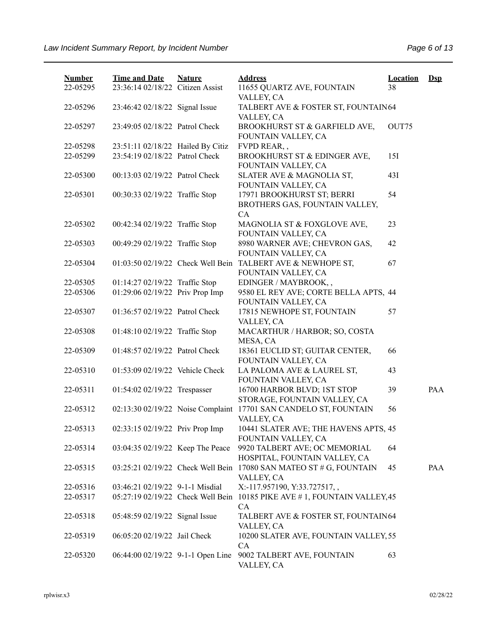| <b>Number</b><br>22-05295 | <b>Time and Date</b><br>23:36:14 02/18/22 Citizen Assist | <b>Nature</b> | <b>Address</b><br>11655 QUARTZ AVE, FOUNTAIN                                     | <b>Location</b><br>38 | $\mathbf{Dsp}$ |
|---------------------------|----------------------------------------------------------|---------------|----------------------------------------------------------------------------------|-----------------------|----------------|
| 22-05296                  | 23:46:42 02/18/22 Signal Issue                           |               | VALLEY, CA<br>TALBERT AVE & FOSTER ST, FOUNTAIN64                                |                       |                |
| 22-05297                  | 23:49:05 02/18/22 Patrol Check                           |               | VALLEY, CA<br>BROOKHURST ST & GARFIELD AVE,                                      | OUT75                 |                |
| 22-05298                  | 23:51:11 02/18/22 Hailed By Citiz                        |               | FOUNTAIN VALLEY, CA<br>FVPD REAR,,                                               |                       |                |
| 22-05299                  | 23:54:19 02/18/22 Patrol Check                           |               | BROOKHURST ST & EDINGER AVE,<br>FOUNTAIN VALLEY, CA                              | 15I                   |                |
| 22-05300                  | 00:13:03 02/19/22 Patrol Check                           |               | SLATER AVE & MAGNOLIA ST,<br>FOUNTAIN VALLEY, CA                                 | 43I                   |                |
| 22-05301                  | 00:30:33 02/19/22 Traffic Stop                           |               | 17971 BROOKHURST ST; BERRI<br>BROTHERS GAS, FOUNTAIN VALLEY,<br>CA               | 54                    |                |
| 22-05302                  | 00:42:34 02/19/22 Traffic Stop                           |               | MAGNOLIA ST & FOXGLOVE AVE,<br>FOUNTAIN VALLEY, CA                               | 23                    |                |
| 22-05303                  | 00:49:29 02/19/22 Traffic Stop                           |               | 8980 WARNER AVE; CHEVRON GAS,<br>FOUNTAIN VALLEY, CA                             | 42                    |                |
| 22-05304                  | 01:03:50 02/19/22 Check Well Bein                        |               | TALBERT AVE & NEWHOPE ST,<br>FOUNTAIN VALLEY, CA                                 | 67                    |                |
| 22-05305                  | 01:14:27 02/19/22 Traffic Stop                           |               | EDINGER / MAYBROOK,,                                                             |                       |                |
| 22-05306                  | 01:29:06 02/19/22 Priv Prop Imp                          |               | 9580 EL REY AVE; CORTE BELLA APTS, 44                                            |                       |                |
| 22-05307                  | 01:36:57 02/19/22 Patrol Check                           |               | FOUNTAIN VALLEY, CA<br>17815 NEWHOPE ST, FOUNTAIN<br>VALLEY, CA                  | 57                    |                |
| 22-05308                  | 01:48:10 02/19/22 Traffic Stop                           |               | MACARTHUR / HARBOR; SO, COSTA<br>MESA, CA                                        |                       |                |
| 22-05309                  | 01:48:57 02/19/22 Patrol Check                           |               | 18361 EUCLID ST; GUITAR CENTER,<br>FOUNTAIN VALLEY, CA                           | 66                    |                |
| 22-05310                  | 01:53:09 02/19/22 Vehicle Check                          |               | LA PALOMA AVE & LAUREL ST,<br>FOUNTAIN VALLEY, CA                                | 43                    |                |
| 22-05311                  | 01:54:02 02/19/22 Trespasser                             |               | 16700 HARBOR BLVD; 1ST STOP<br>STORAGE, FOUNTAIN VALLEY, CA                      | 39                    | PAA            |
| 22-05312                  |                                                          |               | 02:13:30 02/19/22 Noise Complaint 17701 SAN CANDELO ST, FOUNTAIN<br>VALLEY, CA   | 56                    |                |
| 22-05313                  | 02:33:15 02/19/22 Priv Prop Imp                          |               | 10441 SLATER AVE; THE HAVENS APTS, 45<br>FOUNTAIN VALLEY, CA                     |                       |                |
| 22-05314                  | 03:04:35 02/19/22 Keep The Peace                         |               | 9920 TALBERT AVE; OC MEMORIAL<br>HOSPITAL, FOUNTAIN VALLEY, CA                   | 64                    |                |
| 22-05315                  |                                                          |               | 03:25:21 02/19/22 Check Well Bein 17080 SAN MATEO ST # G, FOUNTAIN<br>VALLEY, CA | 45                    | PAA            |
| 22-05316                  | 03:46:21 02/19/22 9-1-1 Misdial                          |               | X:-117.957190, Y:33.727517,,                                                     |                       |                |
| 22-05317                  | 05:27:19 02/19/22 Check Well Bein                        |               | 10185 PIKE AVE #1, FOUNTAIN VALLEY, 45<br>CA                                     |                       |                |
| 22-05318                  | 05:48:59 02/19/22 Signal Issue                           |               | TALBERT AVE & FOSTER ST, FOUNTAIN64<br>VALLEY, CA                                |                       |                |
| 22-05319                  | 06:05:20 02/19/22 Jail Check                             |               | 10200 SLATER AVE, FOUNTAIN VALLEY, 55<br>CA                                      |                       |                |
| 22-05320                  | 06:44:00 02/19/22 9-1-1 Open Line                        |               | 9002 TALBERT AVE, FOUNTAIN<br>VALLEY, CA                                         | 63                    |                |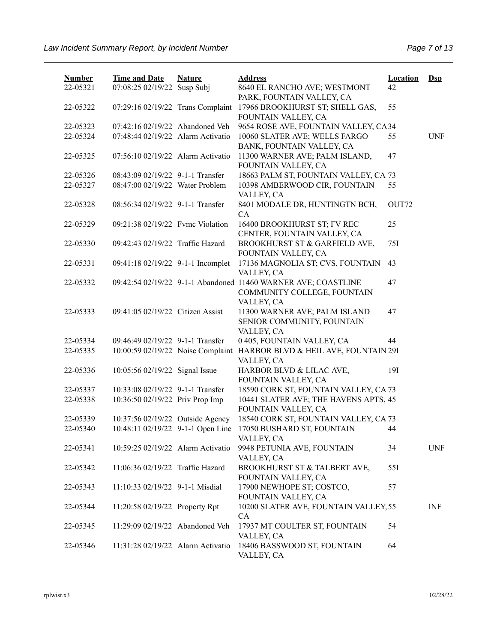| <b>Number</b> | <b>Time and Date</b>              | <b>Nature</b> | <b>Address</b>                                                         | <b>Location</b> | $Dep$      |
|---------------|-----------------------------------|---------------|------------------------------------------------------------------------|-----------------|------------|
| 22-05321      | 07:08:25 02/19/22 Susp Subj       |               | 8640 EL RANCHO AVE; WESTMONT<br>PARK, FOUNTAIN VALLEY, CA              | 42              |            |
| 22-05322      | 07:29:16 02/19/22 Trans Complaint |               | 17966 BROOKHURST ST; SHELL GAS,                                        | 55              |            |
|               |                                   |               | FOUNTAIN VALLEY, CA                                                    |                 |            |
| 22-05323      | 07:42:16 02/19/22 Abandoned Veh   |               | 9654 ROSE AVE, FOUNTAIN VALLEY, CA34                                   |                 |            |
| 22-05324      | 07:48:44 02/19/22 Alarm Activatio |               | 10060 SLATER AVE; WELLS FARGO<br>BANK, FOUNTAIN VALLEY, CA             | 55              | <b>UNF</b> |
| 22-05325      | 07:56:10 02/19/22 Alarm Activatio |               | 11300 WARNER AVE; PALM ISLAND,<br>FOUNTAIN VALLEY, CA                  | 47              |            |
| 22-05326      | 08:43:09 02/19/22 9-1-1 Transfer  |               | 18663 PALM ST, FOUNTAIN VALLEY, CA 73                                  |                 |            |
| 22-05327      | 08:47:00 02/19/22 Water Problem   |               | 10398 AMBERWOOD CIR, FOUNTAIN<br>VALLEY, CA                            | 55              |            |
| 22-05328      | 08:56:34 02/19/22 9-1-1 Transfer  |               | 8401 MODALE DR, HUNTINGTN BCH,                                         | OUT72           |            |
|               |                                   |               | CA                                                                     |                 |            |
| 22-05329      | 09:21:38 02/19/22 Fvmc Violation  |               | 16400 BROOKHURST ST; FV REC                                            | 25              |            |
|               |                                   |               | CENTER, FOUNTAIN VALLEY, CA                                            |                 |            |
| 22-05330      | 09:42:43 02/19/22 Traffic Hazard  |               | BROOKHURST ST & GARFIELD AVE,<br>FOUNTAIN VALLEY, CA                   | 75I             |            |
| 22-05331      | 09:41:18 02/19/22 9-1-1 Incomplet |               | 17136 MAGNOLIA ST; CVS, FOUNTAIN                                       | 43              |            |
|               |                                   |               | VALLEY, CA                                                             |                 |            |
| 22-05332      |                                   |               | 09:42:54 02/19/22 9-1-1 Abandoned 11460 WARNER AVE; COASTLINE          | 47              |            |
|               |                                   |               | COMMUNITY COLLEGE, FOUNTAIN                                            |                 |            |
|               |                                   |               | VALLEY, CA                                                             |                 |            |
| 22-05333      | 09:41:05 02/19/22 Citizen Assist  |               | 11300 WARNER AVE; PALM ISLAND                                          | 47              |            |
|               |                                   |               | SENIOR COMMUNITY, FOUNTAIN                                             |                 |            |
|               |                                   |               | VALLEY, CA                                                             |                 |            |
| 22-05334      | 09:46:49 02/19/22 9-1-1 Transfer  |               | 0 405, FOUNTAIN VALLEY, CA                                             | 44              |            |
| 22-05335      |                                   |               | 10:00:59 02/19/22 Noise Complaint HARBOR BLVD & HEIL AVE, FOUNTAIN 29I |                 |            |
|               |                                   |               | VALLEY, CA                                                             |                 |            |
| 22-05336      | 10:05:56 02/19/22 Signal Issue    |               | HARBOR BLVD & LILAC AVE,<br>FOUNTAIN VALLEY, CA                        | 19I             |            |
| 22-05337      | 10:33:08 02/19/22 9-1-1 Transfer  |               | 18590 CORK ST, FOUNTAIN VALLEY, CA 73                                  |                 |            |
| 22-05338      | 10:36:50 02/19/22 Priv Prop Imp   |               | 10441 SLATER AVE; THE HAVENS APTS, 45<br>FOUNTAIN VALLEY, CA           |                 |            |
| 22-05339      | 10:37:56 02/19/22 Outside Agency  |               | 18540 CORK ST, FOUNTAIN VALLEY, CA 73                                  |                 |            |
| 22-05340      | 10:48:11 02/19/22 9-1-1 Open Line |               | 17050 BUSHARD ST, FOUNTAIN<br>VALLEY, CA                               | 44              |            |
| 22-05341      | 10:59:25 02/19/22 Alarm Activatio |               | 9948 PETUNIA AVE, FOUNTAIN                                             | 34              | <b>UNF</b> |
|               |                                   |               | VALLEY, CA                                                             |                 |            |
| 22-05342      | 11:06:36 02/19/22 Traffic Hazard  |               | BROOKHURST ST & TALBERT AVE,                                           | 55I             |            |
|               |                                   |               | FOUNTAIN VALLEY, CA                                                    |                 |            |
| 22-05343      | 11:10:33 02/19/22 9-1-1 Misdial   |               | 17900 NEWHOPE ST; COSTCO,<br>FOUNTAIN VALLEY, CA                       | 57              |            |
| 22-05344      | 11:20:58 02/19/22 Property Rpt    |               | 10200 SLATER AVE, FOUNTAIN VALLEY, 55                                  |                 | <b>INF</b> |
|               |                                   |               | CA                                                                     |                 |            |
| 22-05345      | 11:29:09 02/19/22 Abandoned Veh   |               | 17937 MT COULTER ST, FOUNTAIN                                          | 54              |            |
|               |                                   |               | VALLEY, CA                                                             |                 |            |
| 22-05346      | 11:31:28 02/19/22 Alarm Activatio |               | 18406 BASSWOOD ST, FOUNTAIN<br>VALLEY, CA                              | 64              |            |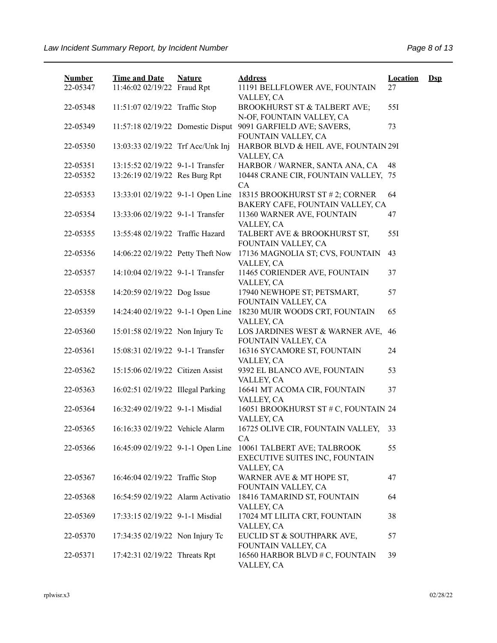| <b>Number</b><br>22-05347 | <b>Time and Date</b><br>11:46:02 02/19/22 Fraud Rpt | <b>Nature</b> | <b>Address</b><br>11191 BELLFLOWER AVE, FOUNTAIN                            | <b>Location</b><br>27 | $\mathbf{Dsp}$ |
|---------------------------|-----------------------------------------------------|---------------|-----------------------------------------------------------------------------|-----------------------|----------------|
|                           |                                                     |               | VALLEY, CA                                                                  |                       |                |
| 22-05348                  | 11:51:07 02/19/22 Traffic Stop                      |               | BROOKHURST ST & TALBERT AVE;<br>N-OF, FOUNTAIN VALLEY, CA                   | 55I                   |                |
| 22-05349                  | 11:57:18 02/19/22 Domestic Disput                   |               | 9091 GARFIELD AVE; SAVERS,<br>FOUNTAIN VALLEY, CA                           | 73                    |                |
| 22-05350                  | 13:03:33 02/19/22 Trf Acc/Unk Inj                   |               | HARBOR BLVD & HEIL AVE, FOUNTAIN 29I<br>VALLEY, CA                          |                       |                |
| 22-05351                  | 13:15:52 02/19/22 9-1-1 Transfer                    |               | HARBOR / WARNER, SANTA ANA, CA                                              | 48                    |                |
| 22-05352                  | 13:26:19 02/19/22 Res Burg Rpt                      |               | 10448 CRANE CIR, FOUNTAIN VALLEY, 75<br>CA                                  |                       |                |
| 22-05353                  | 13:33:01 02/19/22 9-1-1 Open Line                   |               | 18315 BROOKHURST ST # 2; CORNER<br>BAKERY CAFE, FOUNTAIN VALLEY, CA         | 64                    |                |
| 22-05354                  | 13:33:06 02/19/22 9-1-1 Transfer                    |               | 11360 WARNER AVE, FOUNTAIN<br>VALLEY, CA                                    | 47                    |                |
| 22-05355                  | 13:55:48 02/19/22 Traffic Hazard                    |               | TALBERT AVE & BROOKHURST ST,<br>FOUNTAIN VALLEY, CA                         | 55I                   |                |
| 22-05356                  | 14:06:22 02/19/22 Petty Theft Now                   |               | 17136 MAGNOLIA ST; CVS, FOUNTAIN<br>VALLEY, CA                              | 43                    |                |
| 22-05357                  | 14:10:04 02/19/22 9-1-1 Transfer                    |               | 11465 CORIENDER AVE, FOUNTAIN<br>VALLEY, CA                                 | 37                    |                |
| 22-05358                  | 14:20:59 02/19/22 Dog Issue                         |               | 17940 NEWHOPE ST; PETSMART,<br>FOUNTAIN VALLEY, CA                          | 57                    |                |
| 22-05359                  | 14:24:40 02/19/22 9-1-1 Open Line                   |               | 18230 MUIR WOODS CRT, FOUNTAIN<br>VALLEY, CA                                | 65                    |                |
| 22-05360                  | 15:01:58 02/19/22 Non Injury Tc                     |               | LOS JARDINES WEST & WARNER AVE,<br>FOUNTAIN VALLEY, CA                      | 46                    |                |
| 22-05361                  | 15:08:31 02/19/22 9-1-1 Transfer                    |               | 16316 SYCAMORE ST, FOUNTAIN<br>VALLEY, CA                                   | 24                    |                |
| 22-05362                  | 15:15:06 02/19/22 Citizen Assist                    |               | 9392 EL BLANCO AVE, FOUNTAIN<br>VALLEY, CA                                  | 53                    |                |
| 22-05363                  | 16:02:51 02/19/22 Illegal Parking                   |               | 16641 MT ACOMA CIR, FOUNTAIN<br>VALLEY, CA                                  | 37                    |                |
| 22-05364                  | 16:32:49 02/19/22 9-1-1 Misdial                     |               | 16051 BROOKHURST ST # C, FOUNTAIN 24<br>VALLEY, CA                          |                       |                |
| 22-05365                  | 16:16:33 02/19/22 Vehicle Alarm                     |               | 16725 OLIVE CIR, FOUNTAIN VALLEY,<br>CA                                     | 33                    |                |
| 22-05366                  | 16:45:09 02/19/22 9-1-1 Open Line                   |               | 10061 TALBERT AVE; TALBROOK<br>EXECUTIVE SUITES INC, FOUNTAIN<br>VALLEY, CA | 55                    |                |
| 22-05367                  | 16:46:04 02/19/22 Traffic Stop                      |               | WARNER AVE & MT HOPE ST,<br>FOUNTAIN VALLEY, CA                             | 47                    |                |
| 22-05368                  | 16:54:59 02/19/22 Alarm Activatio                   |               | 18416 TAMARIND ST, FOUNTAIN<br>VALLEY, CA                                   | 64                    |                |
| 22-05369                  | 17:33:15 02/19/22 9-1-1 Misdial                     |               | 17024 MT LILITA CRT, FOUNTAIN<br>VALLEY, CA                                 | 38                    |                |
| 22-05370                  | 17:34:35 02/19/22 Non Injury Tc                     |               | EUCLID ST & SOUTHPARK AVE,<br>FOUNTAIN VALLEY, CA                           | 57                    |                |
| 22-05371                  | 17:42:31 02/19/22 Threats Rpt                       |               | 16560 HARBOR BLVD # C, FOUNTAIN<br>VALLEY, CA                               | 39                    |                |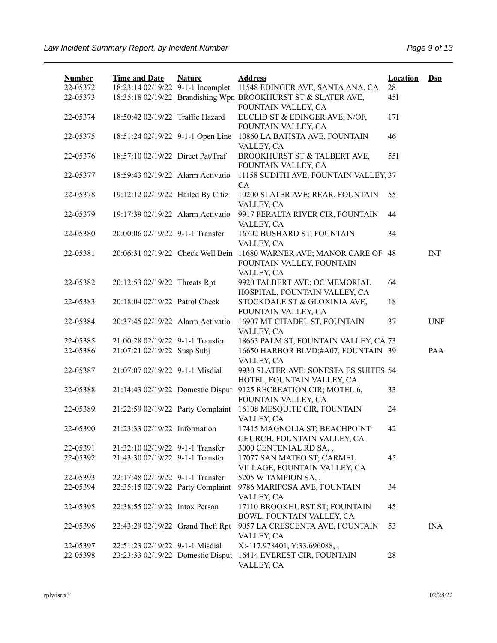| <b>Number</b><br>22-05372 | <b>Time and Date</b><br>18:23:14 02/19/22 9-1-1 Incomplet | <b>Nature</b> | <b>Address</b><br>11548 EDINGER AVE, SANTA ANA, CA                                                              | <b>Location</b><br>28 | $Ds$       |
|---------------------------|-----------------------------------------------------------|---------------|-----------------------------------------------------------------------------------------------------------------|-----------------------|------------|
| 22-05373                  |                                                           |               | 18:35:18 02/19/22 Brandishing Wpn BROOKHURST ST & SLATER AVE,                                                   | 45I                   |            |
| 22-05374                  | 18:50:42 02/19/22 Traffic Hazard                          |               | FOUNTAIN VALLEY, CA<br>EUCLID ST & EDINGER AVE; N/OF,<br>FOUNTAIN VALLEY, CA                                    | 17I                   |            |
| 22-05375                  | 18:51:24 02/19/22 9-1-1 Open Line                         |               | 10860 LA BATISTA AVE, FOUNTAIN<br>VALLEY, CA                                                                    | 46                    |            |
| 22-05376                  | 18:57:10 02/19/22 Direct Pat/Traf                         |               | BROOKHURST ST & TALBERT AVE,<br>FOUNTAIN VALLEY, CA                                                             | 551                   |            |
| 22-05377                  | 18:59:43 02/19/22 Alarm Activatio                         |               | 11158 SUDITH AVE, FOUNTAIN VALLEY, 37<br>CA                                                                     |                       |            |
| 22-05378                  | 19:12:12 02/19/22 Hailed By Citiz                         |               | 10200 SLATER AVE; REAR, FOUNTAIN<br>VALLEY, CA                                                                  | 55                    |            |
| 22-05379                  | 19:17:39 02/19/22 Alarm Activatio                         |               | 9917 PERALTA RIVER CIR, FOUNTAIN<br>VALLEY, CA                                                                  | 44                    |            |
| 22-05380                  | 20:00:06 02/19/22 9-1-1 Transfer                          |               | 16702 BUSHARD ST, FOUNTAIN<br>VALLEY, CA                                                                        | 34                    |            |
| 22-05381                  |                                                           |               | 20:06:31 02/19/22 Check Well Bein 11680 WARNER AVE; MANOR CARE OF 48<br>FOUNTAIN VALLEY, FOUNTAIN<br>VALLEY, CA |                       | <b>INF</b> |
| 22-05382                  | 20:12:53 02/19/22 Threats Rpt                             |               | 9920 TALBERT AVE; OC MEMORIAL<br>HOSPITAL, FOUNTAIN VALLEY, CA                                                  | 64                    |            |
| 22-05383                  | 20:18:04 02/19/22 Patrol Check                            |               | STOCKDALE ST & GLOXINIA AVE,<br>FOUNTAIN VALLEY, CA                                                             | 18                    |            |
| 22-05384                  | 20:37:45 02/19/22 Alarm Activatio                         |               | 16907 MT CITADEL ST, FOUNTAIN<br>VALLEY, CA                                                                     | 37                    | <b>UNF</b> |
| 22-05385                  | 21:00:28 02/19/22 9-1-1 Transfer                          |               | 18663 PALM ST, FOUNTAIN VALLEY, CA 73                                                                           |                       |            |
| 22-05386                  | 21:07:21 02/19/22 Susp Subj                               |               | 16650 HARBOR BLVD;#A07, FOUNTAIN 39<br>VALLEY, CA                                                               |                       | PAA        |
| 22-05387                  | 21:07:07 02/19/22 9-1-1 Misdial                           |               | 9930 SLATER AVE; SONESTA ES SUITES 54<br>HOTEL, FOUNTAIN VALLEY, CA                                             |                       |            |
| 22-05388                  |                                                           |               | 21:14:43 02/19/22 Domestic Disput 9125 RECREATION CIR; MOTEL 6,<br>FOUNTAIN VALLEY, CA                          | 33                    |            |
| 22-05389                  | 21:22:59 02/19/22 Party Complaint                         |               | 16108 MESQUITE CIR, FOUNTAIN<br>VALLEY, CA                                                                      | 24                    |            |
| 22-05390                  | 21:23:33 02/19/22 Information                             |               | 17415 MAGNOLIA ST; BEACHPOINT<br>CHURCH, FOUNTAIN VALLEY, CA                                                    | 42                    |            |
| 22-05391                  | 21:32:10 02/19/22 9-1-1 Transfer                          |               | 3000 CENTENIAL RD SA,,                                                                                          |                       |            |
| 22-05392                  | 21:43:30 02/19/22 9-1-1 Transfer                          |               | 17077 SAN MATEO ST; CARMEL<br>VILLAGE, FOUNTAIN VALLEY, CA                                                      | 45                    |            |
| 22-05393                  | 22:17:48 02/19/22 9-1-1 Transfer                          |               | 5205 W TAMPION SA,,                                                                                             |                       |            |
| 22-05394                  | 22:35:15 02/19/22 Party Complaint                         |               | 9786 MARIPOSA AVE, FOUNTAIN<br>VALLEY, CA                                                                       | 34                    |            |
| 22-05395                  | 22:38:55 02/19/22 Intox Person                            |               | 17110 BROOKHURST ST; FOUNTAIN<br>BOWL, FOUNTAIN VALLEY, CA                                                      | 45                    |            |
| 22-05396                  | 22:43:29 02/19/22 Grand Theft Rpt                         |               | 9057 LA CRESCENTA AVE, FOUNTAIN<br>VALLEY, CA                                                                   | 53                    | <b>INA</b> |
| 22-05397                  | 22:51:23 02/19/22 9-1-1 Misdial                           |               | X:-117.978401, Y:33.696088,,                                                                                    |                       |            |
| 22-05398                  | 23:23:33 02/19/22 Domestic Disput                         |               | 16414 EVEREST CIR, FOUNTAIN<br>VALLEY, CA                                                                       | 28                    |            |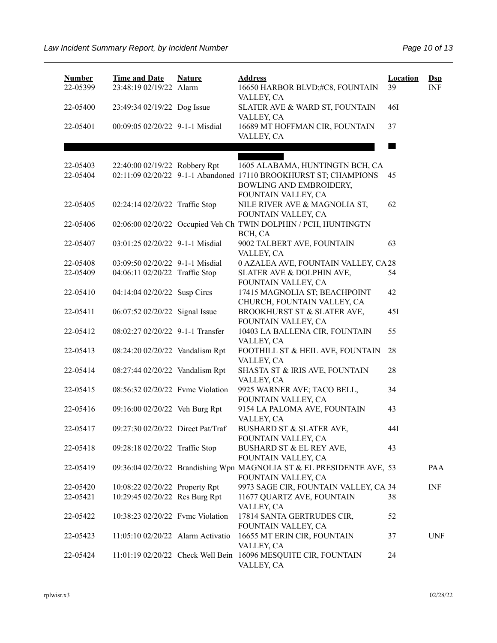| <b>Number</b><br>22-05399 | <b>Time and Date</b><br>23:48:19 02/19/22 Alarm | <b>Nature</b> | <b>Address</b><br>16650 HARBOR BLVD;#C8, FOUNTAIN<br>VALLEY, CA                                                                | <b>Location</b><br>39 | $\mathbf{Dsp}$<br><b>INF</b> |
|---------------------------|-------------------------------------------------|---------------|--------------------------------------------------------------------------------------------------------------------------------|-----------------------|------------------------------|
| 22-05400                  | 23:49:34 02/19/22 Dog Issue                     |               | SLATER AVE & WARD ST, FOUNTAIN<br>VALLEY, CA                                                                                   | <b>46I</b>            |                              |
| 22-05401                  | 00:09:05 02/20/22 9-1-1 Misdial                 |               | 16689 MT HOFFMAN CIR, FOUNTAIN<br>VALLEY, CA                                                                                   | 37                    |                              |
|                           |                                                 |               |                                                                                                                                |                       |                              |
| 22-05403<br>22-05404      | 22:40:00 02/19/22 Robbery Rpt                   |               | 1605 ALABAMA, HUNTINGTN BCH, CA<br>02:11:09 02/20/22 9-1-1 Abandoned 17110 BROOKHURST ST; CHAMPIONS<br>BOWLING AND EMBROIDERY, | 45                    |                              |
| 22-05405                  | 02:24:14 02/20/22 Traffic Stop                  |               | FOUNTAIN VALLEY, CA<br>NILE RIVER AVE & MAGNOLIA ST,<br>FOUNTAIN VALLEY, CA                                                    | 62                    |                              |
| 22-05406                  |                                                 |               | 02:06:00 02/20/22 Occupied Veh Ch TWIN DOLPHIN / PCH, HUNTINGTN<br>BCH, CA                                                     |                       |                              |
| 22-05407                  | 03:01:25 02/20/22 9-1-1 Misdial                 |               | 9002 TALBERT AVE, FOUNTAIN<br>VALLEY, CA                                                                                       | 63                    |                              |
| 22-05408                  | 03:09:50 02/20/22 9-1-1 Misdial                 |               | 0 AZALEA AVE, FOUNTAIN VALLEY, CA 28                                                                                           |                       |                              |
| 22-05409                  | 04:06:11 02/20/22 Traffic Stop                  |               | SLATER AVE & DOLPHIN AVE,<br>FOUNTAIN VALLEY, CA                                                                               | 54                    |                              |
| 22-05410                  | 04:14:04 02/20/22 Susp Circs                    |               | 17415 MAGNOLIA ST; BEACHPOINT<br>CHURCH, FOUNTAIN VALLEY, CA                                                                   | 42                    |                              |
| 22-05411                  | 06:07:52 02/20/22 Signal Issue                  |               | BROOKHURST ST & SLATER AVE,                                                                                                    | 45I                   |                              |
| 22-05412                  | 08:02:27 02/20/22 9-1-1 Transfer                |               | FOUNTAIN VALLEY, CA<br>10403 LA BALLENA CIR, FOUNTAIN<br>VALLEY, CA                                                            | 55                    |                              |
| 22-05413                  | 08:24:20 02/20/22 Vandalism Rpt                 |               | FOOTHILL ST & HEIL AVE, FOUNTAIN<br>VALLEY, CA                                                                                 | 28                    |                              |
| 22-05414                  | 08:27:44 02/20/22 Vandalism Rpt                 |               | SHASTA ST & IRIS AVE, FOUNTAIN<br>VALLEY, CA                                                                                   | 28                    |                              |
| 22-05415                  | 08:56:32 02/20/22 Fvmc Violation                |               | 9925 WARNER AVE; TACO BELL,<br>FOUNTAIN VALLEY, CA                                                                             | 34                    |                              |
| 22-05416                  | 09:16:00 02/20/22 Veh Burg Rpt                  |               | 9154 LA PALOMA AVE, FOUNTAIN<br>VALLEY, CA                                                                                     | 43                    |                              |
| 22-05417                  | 09:27:30 02/20/22 Direct Pat/Traf               |               | BUSHARD ST & SLATER AVE,<br>FOUNTAIN VALLEY, CA                                                                                | 44I                   |                              |
| 22-05418                  | 09:28:18 02/20/22 Traffic Stop                  |               | BUSHARD ST & EL REY AVE,<br>FOUNTAIN VALLEY, CA                                                                                | 43                    |                              |
| 22-05419                  |                                                 |               | 09:36:04 02/20/22 Brandishing Wpn MAGNOLIA ST & EL PRESIDENTE AVE, 53<br>FOUNTAIN VALLEY, CA                                   |                       | PAA                          |
| 22-05420                  | 10:08:22 02/20/22 Property Rpt                  |               | 9973 SAGE CIR, FOUNTAIN VALLEY, CA 34                                                                                          |                       | <b>INF</b>                   |
| 22-05421                  | 10:29:45 02/20/22 Res Burg Rpt                  |               | 11677 QUARTZ AVE, FOUNTAIN<br>VALLEY, CA                                                                                       | 38                    |                              |
| 22-05422                  | 10:38:23 02/20/22 Fvmc Violation                |               | 17814 SANTA GERTRUDES CIR,<br>FOUNTAIN VALLEY, CA                                                                              | 52                    |                              |
| 22-05423                  | 11:05:10 02/20/22 Alarm Activatio               |               | 16655 MT ERIN CIR, FOUNTAIN<br>VALLEY, CA                                                                                      | 37                    | <b>UNF</b>                   |
| 22-05424                  |                                                 |               | 11:01:19 02/20/22 Check Well Bein 16096 MESQUITE CIR, FOUNTAIN<br>VALLEY, CA                                                   | 24                    |                              |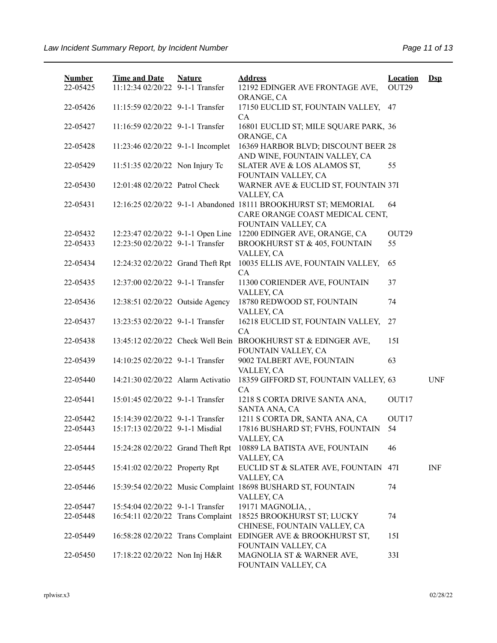| <b>Number</b><br>22-05425 | <b>Time and Date</b><br>11:12:34 02/20/22 9-1-1 Transfer | <b>Nature</b> | <b>Address</b><br>12192 EDINGER AVE FRONTAGE AVE,                                                                         | <b>Location</b><br>OUT29 | $\mathbf{Dsp}$ |
|---------------------------|----------------------------------------------------------|---------------|---------------------------------------------------------------------------------------------------------------------------|--------------------------|----------------|
|                           |                                                          |               | ORANGE, CA                                                                                                                |                          |                |
| 22-05426                  | 11:15:59 02/20/22 9-1-1 Transfer                         |               | 17150 EUCLID ST, FOUNTAIN VALLEY,<br>CA                                                                                   | 47                       |                |
| 22-05427                  | 11:16:59 02/20/22 9-1-1 Transfer                         |               | 16801 EUCLID ST; MILE SQUARE PARK, 36<br>ORANGE, CA                                                                       |                          |                |
| 22-05428                  | 11:23:46 02/20/22 9-1-1 Incomplet                        |               | 16369 HARBOR BLVD; DISCOUNT BEER 28<br>AND WINE, FOUNTAIN VALLEY, CA                                                      |                          |                |
| 22-05429                  | 11:51:35 02/20/22 Non Injury Tc                          |               | SLATER AVE & LOS ALAMOS ST,<br>FOUNTAIN VALLEY, CA                                                                        | 55                       |                |
| 22-05430                  | 12:01:48 02/20/22 Patrol Check                           |               | WARNER AVE & EUCLID ST, FOUNTAIN 37I<br>VALLEY, CA                                                                        |                          |                |
| 22-05431                  |                                                          |               | 12:16:25 02/20/22 9-1-1 Abandoned 18111 BROOKHURST ST; MEMORIAL<br>CARE ORANGE COAST MEDICAL CENT,<br>FOUNTAIN VALLEY, CA | 64                       |                |
| 22-05432                  | 12:23:47 02/20/22 9-1-1 Open Line                        |               | 12200 EDINGER AVE, ORANGE, CA                                                                                             | OUT29                    |                |
| 22-05433                  | 12:23:50 02/20/22 9-1-1 Transfer                         |               | BROOKHURST ST & 405, FOUNTAIN<br>VALLEY, CA                                                                               | 55                       |                |
| 22-05434                  | 12:24:32 02/20/22 Grand Theft Rpt                        |               | 10035 ELLIS AVE, FOUNTAIN VALLEY,<br>CA                                                                                   | 65                       |                |
| 22-05435                  | 12:37:00 02/20/22 9-1-1 Transfer                         |               | 11300 CORIENDER AVE, FOUNTAIN<br>VALLEY, CA                                                                               | 37                       |                |
| 22-05436                  | 12:38:51 02/20/22 Outside Agency                         |               | 18780 REDWOOD ST, FOUNTAIN<br>VALLEY, CA                                                                                  | 74                       |                |
| 22-05437                  | 13:23:53 02/20/22 9-1-1 Transfer                         |               | 16218 EUCLID ST, FOUNTAIN VALLEY,<br>CA                                                                                   | 27                       |                |
| 22-05438                  | 13:45:12 02/20/22 Check Well Bein                        |               | BROOKHURST ST & EDINGER AVE,<br>FOUNTAIN VALLEY, CA                                                                       | 15I                      |                |
| 22-05439                  | 14:10:25 02/20/22 9-1-1 Transfer                         |               | 9002 TALBERT AVE, FOUNTAIN<br>VALLEY, CA                                                                                  | 63                       |                |
| 22-05440                  | 14:21:30 02/20/22 Alarm Activatio                        |               | 18359 GIFFORD ST, FOUNTAIN VALLEY, 63<br>CA                                                                               |                          | <b>UNF</b>     |
| 22-05441                  | 15:01:45 02/20/22 9-1-1 Transfer                         |               | 1218 S CORTA DRIVE SANTA ANA,<br>SANTA ANA, CA                                                                            | OUT17                    |                |
| 22-05442                  | 15:14:39 02/20/22 9-1-1 Transfer                         |               | 1211 S CORTA DR, SANTA ANA, CA                                                                                            | OUT17                    |                |
| 22-05443                  | 15:17:13 02/20/22 9-1-1 Misdial                          |               | 17816 BUSHARD ST; FVHS, FOUNTAIN<br>VALLEY, CA                                                                            | 54                       |                |
| 22-05444                  | 15:24:28 02/20/22 Grand Theft Rpt                        |               | 10889 LA BATISTA AVE, FOUNTAIN<br>VALLEY, CA                                                                              | 46                       |                |
| 22-05445                  | 15:41:02 02/20/22 Property Rpt                           |               | EUCLID ST & SLATER AVE, FOUNTAIN<br>VALLEY, CA                                                                            | 47I                      | <b>INF</b>     |
| 22-05446                  |                                                          |               | 15:39:54 02/20/22 Music Complaint 18698 BUSHARD ST, FOUNTAIN<br>VALLEY, CA                                                | 74                       |                |
| 22-05447                  | 15:54:04 02/20/22 9-1-1 Transfer                         |               | 19171 MAGNOLIA,,                                                                                                          |                          |                |
| 22-05448                  | 16:54:11 02/20/22 Trans Complaint                        |               | 18525 BROOKHURST ST; LUCKY<br>CHINESE, FOUNTAIN VALLEY, CA                                                                | 74                       |                |
| 22-05449                  | 16:58:28 02/20/22 Trans Complaint                        |               | EDINGER AVE & BROOKHURST ST,<br>FOUNTAIN VALLEY, CA                                                                       | 15I                      |                |
| 22-05450                  | 17:18:22 02/20/22 Non Inj H&R                            |               | MAGNOLIA ST & WARNER AVE,<br>FOUNTAIN VALLEY, CA                                                                          | 33I                      |                |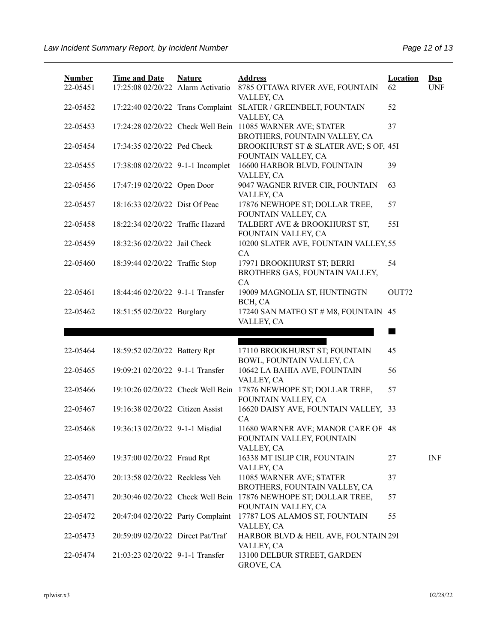| <b>Number</b> | <b>Time and Date</b>              | <b>Nature</b> | <b>Address</b>                                                                              | <b>Location</b> | $\mathbf{Dsp}$ |
|---------------|-----------------------------------|---------------|---------------------------------------------------------------------------------------------|-----------------|----------------|
| 22-05451      | 17:25:08 02/20/22 Alarm Activatio |               | 8785 OTTAWA RIVER AVE, FOUNTAIN<br>VALLEY, CA                                               | 62              | <b>UNF</b>     |
| 22-05452      | 17:22:40 02/20/22 Trans Complaint |               | SLATER / GREENBELT, FOUNTAIN<br>VALLEY, CA                                                  | 52              |                |
| 22-05453      |                                   |               | 17:24:28 02/20/22 Check Well Bein 11085 WARNER AVE; STATER<br>BROTHERS, FOUNTAIN VALLEY, CA | 37              |                |
| 22-05454      | 17:34:35 02/20/22 Ped Check       |               | BROOKHURST ST & SLATER AVE; S OF, 45I<br>FOUNTAIN VALLEY, CA                                |                 |                |
| 22-05455      | 17:38:08 02/20/22 9-1-1 Incomplet |               | 16600 HARBOR BLVD, FOUNTAIN<br>VALLEY, CA                                                   | 39              |                |
| 22-05456      | 17:47:19 02/20/22 Open Door       |               | 9047 WAGNER RIVER CIR, FOUNTAIN<br>VALLEY, CA                                               | 63              |                |
| 22-05457      | 18:16:33 02/20/22 Dist Of Peac    |               | 17876 NEWHOPE ST; DOLLAR TREE,<br>FOUNTAIN VALLEY, CA                                       | 57              |                |
| 22-05458      | 18:22:34 02/20/22 Traffic Hazard  |               | TALBERT AVE & BROOKHURST ST,<br>FOUNTAIN VALLEY, CA                                         | 55I             |                |
| 22-05459      | 18:32:36 02/20/22 Jail Check      |               | 10200 SLATER AVE, FOUNTAIN VALLEY, 55<br>CA                                                 |                 |                |
| 22-05460      | 18:39:44 02/20/22 Traffic Stop    |               | 17971 BROOKHURST ST; BERRI<br>BROTHERS GAS, FOUNTAIN VALLEY,<br>CA                          | 54              |                |
| 22-05461      | 18:44:46 02/20/22 9-1-1 Transfer  |               | 19009 MAGNOLIA ST, HUNTINGTN<br>BCH, CA                                                     | OUT72           |                |
| 22-05462      | 18:51:55 02/20/22 Burglary        |               | 17240 SAN MATEO ST # M8, FOUNTAIN 45<br>VALLEY, CA                                          |                 |                |
|               |                                   |               |                                                                                             |                 |                |
| 22-05464      | 18:59:52 02/20/22 Battery Rpt     |               | 17110 BROOKHURST ST; FOUNTAIN<br>BOWL, FOUNTAIN VALLEY, CA                                  | 45              |                |
| 22-05465      | 19:09:21 02/20/22 9-1-1 Transfer  |               | 10642 LA BAHIA AVE, FOUNTAIN<br>VALLEY, CA                                                  | 56              |                |
| 22-05466      | 19:10:26 02/20/22 Check Well Bein |               | 17876 NEWHOPE ST; DOLLAR TREE,<br>FOUNTAIN VALLEY, CA                                       | 57              |                |
| 22-05467      | 19:16:38 02/20/22 Citizen Assist  |               | 16620 DAISY AVE, FOUNTAIN VALLEY, 33<br>CA                                                  |                 |                |
| 22-05468      | 19:36:13 02/20/22 9-1-1 Misdial   |               | 11680 WARNER AVE; MANOR CARE OF 48<br>FOUNTAIN VALLEY, FOUNTAIN<br>VALLEY, CA               |                 |                |
| 22-05469      | 19:37:00 02/20/22 Fraud Rpt       |               | 16338 MT ISLIP CIR, FOUNTAIN<br>VALLEY, CA                                                  | 27              | <b>INF</b>     |
| 22-05470      | 20:13:58 02/20/22 Reckless Veh    |               | 11085 WARNER AVE; STATER<br>BROTHERS, FOUNTAIN VALLEY, CA                                   | 37              |                |
| 22-05471      | 20:30:46 02/20/22 Check Well Bein |               | 17876 NEWHOPE ST; DOLLAR TREE,<br>FOUNTAIN VALLEY, CA                                       | 57              |                |
| 22-05472      | 20:47:04 02/20/22 Party Complaint |               | 17787 LOS ALAMOS ST, FOUNTAIN<br>VALLEY, CA                                                 | 55              |                |
| 22-05473      |                                   |               |                                                                                             |                 |                |
|               | 20:59:09 02/20/22 Direct Pat/Traf |               | HARBOR BLVD & HEIL AVE, FOUNTAIN 29I<br>VALLEY, CA                                          |                 |                |